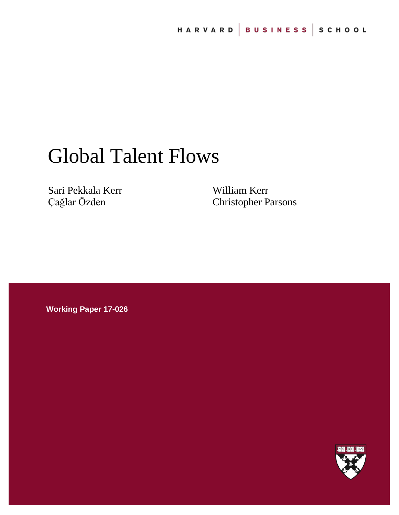# Global Talent Flows

Sari Pekkala Kerr Çağlar Özden

William Kerr Christopher Parsons

**Working Paper 17-026**

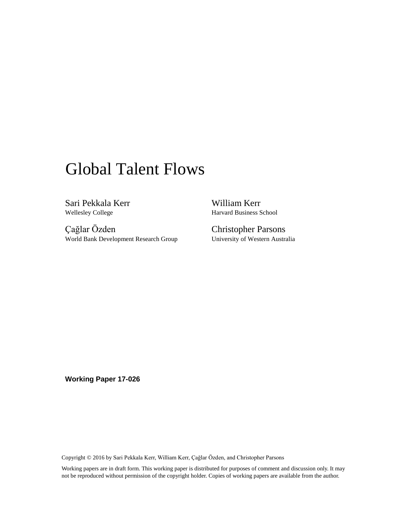## Global Talent Flows

Sari Pekkala Kerr Wellesley College

Çağlar Özden World Bank Development Research Group William Kerr Harvard Business School

Christopher Parsons University of Western Australia

**Working Paper 17-026**

Copyright © 2016 by Sari Pekkala Kerr, William Kerr, Çağlar Özden, and Christopher Parsons

Working papers are in draft form. This working paper is distributed for purposes of comment and discussion only. It may not be reproduced without permission of the copyright holder. Copies of working papers are available from the author.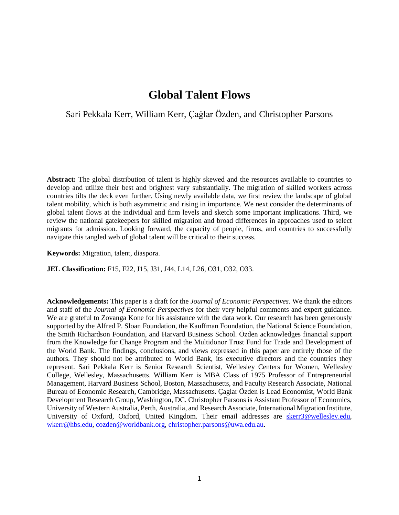## **Global Talent Flows**

Sari Pekkala Kerr, William Kerr, Çağlar Özden, and Christopher Parsons

**Abstract:** The global distribution of talent is highly skewed and the resources available to countries to develop and utilize their best and brightest vary substantially. The migration of skilled workers across countries tilts the deck even further. Using newly available data, we first review the landscape of global talent mobility, which is both asymmetric and rising in importance. We next consider the determinants of global talent flows at the individual and firm levels and sketch some important implications. Third, we review the national gatekeepers for skilled migration and broad differences in approaches used to select migrants for admission. Looking forward, the capacity of people, firms, and countries to successfully navigate this tangled web of global talent will be critical to their success.

**Keywords:** Migration, talent, diaspora.

**JEL Classification:** F15, F22, J15, J31, J44, L14, L26, O31, O32, O33.

**Acknowledgements:** This paper is a draft for the *Journal of Economic Perspectives*. We thank the editors and staff of the *Journal of Economic Perspectives* for their very helpful comments and expert guidance. We are grateful to Zovanga Kone for his assistance with the data work. Our research has been generously supported by the Alfred P. Sloan Foundation, the Kauffman Foundation, the National Science Foundation, the Smith Richardson Foundation, and Harvard Business School. Özden acknowledges financial support from the Knowledge for Change Program and the Multidonor Trust Fund for Trade and Development of the World Bank. The findings, conclusions, and views expressed in this paper are entirely those of the authors. They should not be attributed to World Bank, its executive directors and the countries they represent. Sari Pekkala Kerr is Senior Research Scientist, Wellesley Centers for Women, Wellesley College, Wellesley, Massachusetts. William Kerr is MBA Class of 1975 Professor of Entrepreneurial Management, Harvard Business School, Boston, Massachusetts, and Faculty Research Associate, National Bureau of Economic Research, Cambridge, Massachusetts. Çaglar Özden is Lead Economist, World Bank Development Research Group, Washington, DC. Christopher Parsons is Assistant Professor of Economics, University of Western Australia, Perth, Australia, and Research Associate, International Migration Institute, University of Oxford, Oxford, United Kingdom. Their email addresses are [skerr3@wellesley.edu,](mailto:skerr3@wellesley.edu)  [wkerr@hbs.edu](mailto:wkerr@hbs.ed), [cozden@worldbank.org,](mailto:cozden@worldbank.org) [christopher.parsons@uwa.edu.au.](mailto:christopher.parsons@uwa.edu.au)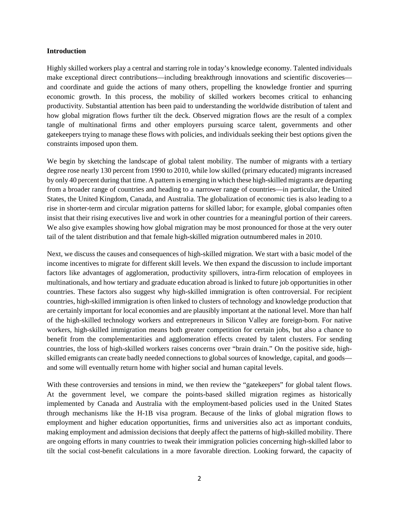#### **Introduction**

Highly skilled workers play a central and starring role in today's knowledge economy. Talented individuals make exceptional direct contributions—including breakthrough innovations and scientific discoveries and coordinate and guide the actions of many others, propelling the knowledge frontier and spurring economic growth. In this process, the mobility of skilled workers becomes critical to enhancing productivity. Substantial attention has been paid to understanding the worldwide distribution of talent and how global migration flows further tilt the deck. Observed migration flows are the result of a complex tangle of multinational firms and other employers pursuing scarce talent, governments and other gatekeepers trying to manage these flows with policies, and individuals seeking their best options given the constraints imposed upon them.

We begin by sketching the landscape of global talent mobility. The number of migrants with a tertiary degree rose nearly 130 percent from 1990 to 2010, while low skilled (primary educated) migrants increased by only 40 percent during that time. A pattern is emerging in which these high-skilled migrants are departing from a broader range of countries and heading to a narrower range of countries—in particular, the United States, the United Kingdom, Canada, and Australia. The globalization of economic ties is also leading to a rise in shorter-term and circular migration patterns for skilled labor; for example, global companies often insist that their rising executives live and work in other countries for a meaningful portion of their careers. We also give examples showing how global migration may be most pronounced for those at the very outer tail of the talent distribution and that female high-skilled migration outnumbered males in 2010.

Next, we discuss the causes and consequences of high-skilled migration. We start with a basic model of the income incentives to migrate for different skill levels. We then expand the discussion to include important factors like advantages of agglomeration, productivity spillovers, intra-firm relocation of employees in multinationals, and how tertiary and graduate education abroad is linked to future job opportunities in other countries. These factors also suggest why high-skilled immigration is often controversial. For recipient countries, high-skilled immigration is often linked to clusters of technology and knowledge production that are certainly important for local economies and are plausibly important at the national level. More than half of the high-skilled technology workers and entrepreneurs in Silicon Valley are foreign-born. For native workers, high-skilled immigration means both greater competition for certain jobs, but also a chance to benefit from the complementarities and agglomeration effects created by talent clusters. For sending countries, the loss of high-skilled workers raises concerns over "brain drain." On the positive side, highskilled emigrants can create badly needed connections to global sources of knowledge, capital, and goods and some will eventually return home with higher social and human capital levels.

With these controversies and tensions in mind, we then review the "gatekeepers" for global talent flows. At the government level, we compare the points-based skilled migration regimes as historically implemented by Canada and Australia with the employment-based policies used in the United States through mechanisms like the H-1B visa program. Because of the links of global migration flows to employment and higher education opportunities, firms and universities also act as important conduits, making employment and admission decisions that deeply affect the patterns of high-skilled mobility. There are ongoing efforts in many countries to tweak their immigration policies concerning high-skilled labor to tilt the social cost-benefit calculations in a more favorable direction. Looking forward, the capacity of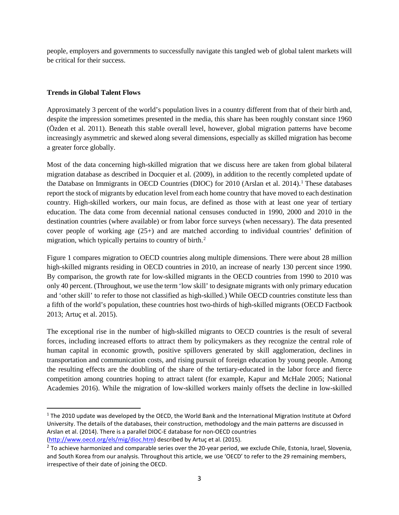people, employers and governments to successfully navigate this tangled web of global talent markets will be critical for their success.

#### **Trends in Global Talent Flows**

Approximately 3 percent of the world's population lives in a country different from that of their birth and, despite the impression sometimes presented in the media, this share has been roughly constant since 1960 (Özden et al. 2011). Beneath this stable overall level, however, global migration patterns have become increasingly asymmetric and skewed along several dimensions, especially as skilled migration has become a greater force globally.

Most of the data concerning high-skilled migration that we discuss here are taken from global bilateral migration database as described in Docquier et al. (2009), in addition to the recently completed update of the Database on Immigrants in OECD Countries (DIOC) for 2010 (Arslan et al. 2014). [1](#page-4-0) These databases report the stock of migrants by education level from each home country that have moved to each destination country. High-skilled workers, our main focus, are defined as those with at least one year of tertiary education. The data come from decennial national censuses conducted in 1990, 2000 and 2010 in the destination countries (where available) or from labor force surveys (when necessary). The data presented cover people of working age (25+) and are matched according to individual countries' definition of migration, which typically pertains to country of birth. [2](#page-4-1)

Figure 1 compares migration to OECD countries along multiple dimensions. There were about 28 million high-skilled migrants residing in OECD countries in 2010, an increase of nearly 130 percent since 1990. By comparison, the growth rate for low-skilled migrants in the OECD countries from 1990 to 2010 was only 40 percent. (Throughout, we use the term 'low skill' to designate migrants with only primary education and 'other skill' to refer to those not classified as high-skilled.) While OECD countries constitute less than a fifth of the world's population, these countries host two-thirds of high-skilled migrants (OECD Factbook 2013; Artuç et al. 2015).

The exceptional rise in the number of high-skilled migrants to OECD countries is the result of several forces, including increased efforts to attract them by policymakers as they recognize the central role of human capital in economic growth, positive spillovers generated by skill agglomeration, declines in transportation and communication costs, and rising pursuit of foreign education by young people. Among the resulting effects are the doubling of the share of the tertiary-educated in the labor force and fierce competition among countries hoping to attract talent (for example, Kapur and McHale 2005; National Academies 2016). While the migration of low-skilled workers mainly offsets the decline in low-skilled

<span id="page-4-0"></span> $1$  The 2010 update was developed by the OECD, the World Bank and the International Migration Institute at Oxford University. The details of the databases, their construction, methodology and the main patterns are discussed in Arslan et al. (2014). There is a parallel DIOC-E database for non-OECD countries [\(http://www.oecd.org/els/mig/dioc.htm\)](http://www.oecd.org/els/mig/dioc.htm) described by Artuç et al. (2015).

<span id="page-4-1"></span> $2$  To achieve harmonized and comparable series over the 20-year period, we exclude Chile, Estonia, Israel, Slovenia,

and South Korea from our analysis. Throughout this article, we use 'OECD' to refer to the 29 remaining members, irrespective of their date of joining the OECD.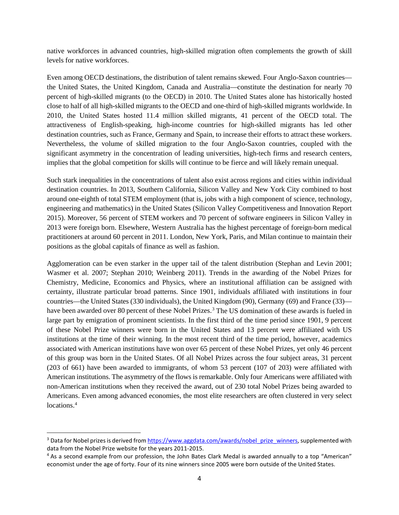native workforces in advanced countries, high-skilled migration often complements the growth of skill levels for native workforces.

Even among OECD destinations, the distribution of talent remains skewed. Four Anglo-Saxon countries the United States, the United Kingdom, Canada and Australia—constitute the destination for nearly 70 percent of high-skilled migrants (to the OECD) in 2010. The United States alone has historically hosted close to half of all high-skilled migrants to the OECD and one-third of high-skilled migrants worldwide. In 2010, the United States hosted 11.4 million skilled migrants, 41 percent of the OECD total. The attractiveness of English-speaking, high-income countries for high-skilled migrants has led other destination countries, such as France, Germany and Spain, to increase their efforts to attract these workers. Nevertheless, the volume of skilled migration to the four Anglo-Saxon countries, coupled with the significant asymmetry in the concentration of leading universities, high-tech firms and research centers, implies that the global competition for skills will continue to be fierce and will likely remain unequal.

Such stark inequalities in the concentrations of talent also exist across regions and cities within individual destination countries. In 2013, Southern California, Silicon Valley and New York City combined to host around one-eighth of total STEM employment (that is, jobs with a high component of science, technology, engineering and mathematics) in the United States (Silicon Valley Competitiveness and Innovation Report 2015). Moreover, 56 percent of STEM workers and 70 percent of software engineers in Silicon Valley in 2013 were foreign born. Elsewhere, Western Australia has the highest percentage of foreign-born medical practitioners at around 60 percent in 2011. London, New York, Paris, and Milan continue to maintain their positions as the global capitals of finance as well as fashion.

Agglomeration can be even starker in the upper tail of the talent distribution (Stephan and Levin 2001; Wasmer et al. 2007; Stephan 2010; Weinberg 2011). Trends in the awarding of the Nobel Prizes for Chemistry, Medicine, Economics and Physics, where an institutional affiliation can be assigned with certainty, illustrate particular broad patterns. Since 1901, individuals affiliated with institutions in four countries—the United States (330 individuals), the United Kingdom (90), Germany (69) and France (33)— have been awarded over 80 percent of these Nobel Prizes.<sup>[3](#page-5-0)</sup> The US domination of these awards is fueled in large part by emigration of prominent scientists. In the first third of the time period since 1901, 9 percent of these Nobel Prize winners were born in the United States and 13 percent were affiliated with US institutions at the time of their winning. In the most recent third of the time period, however, academics associated with American institutions have won over 65 percent of these Nobel Prizes, yet only 46 percent of this group was born in the United States. Of all Nobel Prizes across the four subject areas, 31 percent (203 of 661) have been awarded to immigrants, of whom 53 percent (107 of 203) were affiliated with American institutions. The asymmetry of the flows is remarkable. Only four Americans were affiliated with non-American institutions when they received the award, out of 230 total Nobel Prizes being awarded to Americans. Even among advanced economies, the most elite researchers are often clustered in very select locations. [4](#page-5-1)

<span id="page-5-0"></span><sup>&</sup>lt;sup>3</sup> Data for Nobel prizes is derived fro[m https://www.aggdata.com/awards/nobel\\_prize\\_winners,](https://www.aggdata.com/awards/nobel_prize_winners) supplemented with data from the Nobel Prize website for the years 2011-2015.

<span id="page-5-1"></span><sup>4</sup> As a second example from our profession, the John Bates Clark Medal is awarded annually to a top "American" economist under the age of forty. Four of its nine winners since 2005 were born outside of the United States.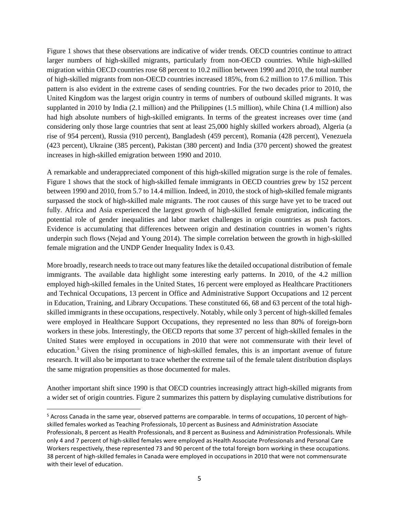Figure 1 shows that these observations are indicative of wider trends. OECD countries continue to attract larger numbers of high-skilled migrants, particularly from non-OECD countries. While high-skilled migration within OECD countries rose 68 percent to 10.2 million between 1990 and 2010, the total number of high-skilled migrants from non-OECD countries increased 185%, from 6.2 million to 17.6 million. This pattern is also evident in the extreme cases of sending countries. For the two decades prior to 2010, the United Kingdom was the largest origin country in terms of numbers of outbound skilled migrants. It was supplanted in 2010 by India (2.1 million) and the Philippines (1.5 million), while China (1.4 million) also had high absolute numbers of high-skilled emigrants. In terms of the greatest increases over time (and considering only those large countries that sent at least 25,000 highly skilled workers abroad), Algeria (a rise of 954 percent), Russia (910 percent), Bangladesh (459 percent), Romania (428 percent), Venezuela (423 percent), Ukraine (385 percent), Pakistan (380 percent) and India (370 percent) showed the greatest increases in high-skilled emigration between 1990 and 2010.

A remarkable and underappreciated component of this high-skilled migration surge is the role of females. Figure 1 shows that the stock of high-skilled female immigrants in OECD countries grew by 152 percent between 1990 and 2010, from 5.7 to 14.4 million. Indeed, in 2010, the stock of high-skilled female migrants surpassed the stock of high-skilled male migrants. The root causes of this surge have yet to be traced out fully. Africa and Asia experienced the largest growth of high-skilled female emigration, indicating the potential role of gender inequalities and labor market challenges in origin countries as push factors. Evidence is accumulating that differences between origin and destination countries in women's rights underpin such flows (Nejad and Young 2014). The simple correlation between the growth in high-skilled female migration and the UNDP Gender Inequality Index is 0.43.

More broadly, research needs to trace out many features like the detailed occupational distribution of female immigrants. The available data highlight some interesting early patterns. In 2010, of the 4.2 million employed high-skilled females in the United States, 16 percent were employed as Healthcare Practitioners and Technical Occupations, 13 percent in Office and Administrative Support Occupations and 12 percent in Education, Training, and Library Occupations. These constituted 66, 68 and 63 percent of the total highskilled immigrants in these occupations, respectively. Notably, while only 3 percent of high-skilled females were employed in Healthcare Support Occupations, they represented no less than 80% of foreign-born workers in these jobs. Interestingly, the OECD reports that some 37 percent of high-skilled females in the United States were employed in occupations in 2010 that were not commensurate with their level of education.<sup>[5](#page-6-0)</sup> Given the rising prominence of high-skilled females, this is an important avenue of future research. It will also be important to trace whether the extreme tail of the female talent distribution displays the same migration propensities as those documented for males.

Another important shift since 1990 is that OECD countries increasingly attract high-skilled migrants from a wider set of origin countries. Figure 2 summarizes this pattern by displaying cumulative distributions for

<span id="page-6-0"></span> <sup>5</sup> Across Canada in the same year, observed patterns are comparable. In terms of occupations, 10 percent of highskilled females worked as Teaching Professionals, 10 percent as Business and Administration Associate Professionals, 8 percent as Health Professionals, and 8 percent as Business and Administration Professionals. While only 4 and 7 percent of high-skilled females were employed as Health Associate Professionals and Personal Care Workers respectively, these represented 73 and 90 percent of the total foreign born working in these occupations. 38 percent of high-skilled females in Canada were employed in occupations in 2010 that were not commensurate with their level of education.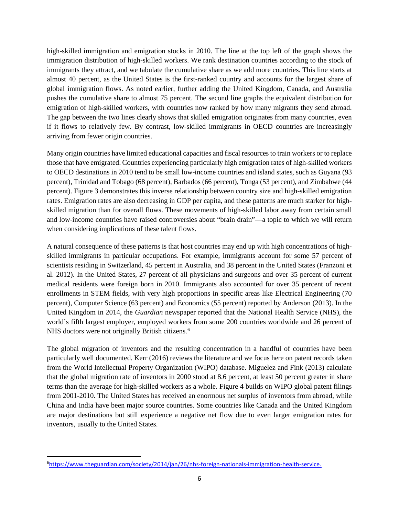high-skilled immigration and emigration stocks in 2010. The line at the top left of the graph shows the immigration distribution of high-skilled workers. We rank destination countries according to the stock of immigrants they attract, and we tabulate the cumulative share as we add more countries. This line starts at almost 40 percent, as the United States is the first-ranked country and accounts for the largest share of global immigration flows. As noted earlier, further adding the United Kingdom, Canada, and Australia pushes the cumulative share to almost 75 percent. The second line graphs the equivalent distribution for emigration of high-skilled workers, with countries now ranked by how many migrants they send abroad. The gap between the two lines clearly shows that skilled emigration originates from many countries, even if it flows to relatively few. By contrast, low-skilled immigrants in OECD countries are increasingly arriving from fewer origin countries.

Many origin countries have limited educational capacities and fiscal resources to train workers or to replace those that have emigrated. Countries experiencing particularly high emigration rates of high-skilled workers to OECD destinations in 2010 tend to be small low-income countries and island states, such as Guyana (93 percent), Trinidad and Tobago (68 percent), Barbados (66 percent), Tonga (53 percent), and Zimbabwe (44 percent). Figure 3 demonstrates this inverse relationship between country size and high-skilled emigration rates. Emigration rates are also decreasing in GDP per capita, and these patterns are much starker for highskilled migration than for overall flows. These movements of high-skilled labor away from certain small and low-income countries have raised controversies about "brain drain"—a topic to which we will return when considering implications of these talent flows.

A natural consequence of these patterns is that host countries may end up with high concentrations of highskilled immigrants in particular occupations. For example, immigrants account for some 57 percent of scientists residing in Switzerland, 45 percent in Australia, and 38 percent in the United States (Franzoni et al. 2012). In the United States, 27 percent of all physicians and surgeons and over 35 percent of current medical residents were foreign born in 2010. Immigrants also accounted for over 35 percent of recent enrollments in STEM fields, with very high proportions in specific areas like Electrical Engineering (70 percent), Computer Science (63 percent) and Economics (55 percent) reported by Anderson (2013). In the United Kingdom in 2014, the *Guardian* newspaper reported that the National Health Service (NHS), the world's fifth largest employer, employed workers from some 200 countries worldwide and 26 percent of NHS doctors were not originally British citizens.<sup>[6](#page-7-0)</sup>

The global migration of inventors and the resulting concentration in a handful of countries have been particularly well documented. Kerr (2016) reviews the literature and we focus here on patent records taken from the World Intellectual Property Organization (WIPO) database. Miguelez and Fink (2013) calculate that the global migration rate of inventors in 2000 stood at 8.6 percent, at least 50 percent greater in share terms than the average for high-skilled workers as a whole. Figure 4 builds on WIPO global patent filings from 2001-2010. The United States has received an enormous net surplus of inventors from abroad, while China and India have been major source countries. Some countries like Canada and the United Kingdom are major destinations but still experience a negative net flow due to even larger emigration rates for inventors, usually to the United States.

<span id="page-7-0"></span><sup>-&</sup>lt;br>6 [https://www.theguardian.com/society/2014/jan/26/nhs-foreign-nationals-immigration-health-service.](https://www.theguardian.com/society/2014/jan/26/nhs-foreign-nationals-immigration-health-service)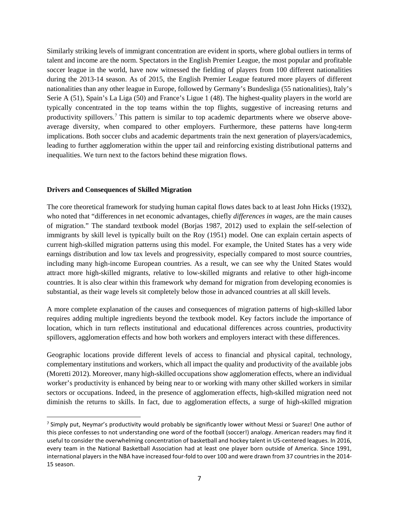Similarly striking levels of immigrant concentration are evident in sports, where global outliers in terms of talent and income are the norm. Spectators in the English Premier League, the most popular and profitable soccer league in the world, have now witnessed the fielding of players from 100 different nationalities during the 2013-14 season. As of 2015, the English Premier League featured more players of different nationalities than any other league in Europe, followed by Germany's Bundesliga (55 nationalities), Italy's Serie A (51), Spain's La Liga (50) and France's Ligue 1 (48). The highest-quality players in the world are typically concentrated in the top teams within the top flights, suggestive of increasing returns and productivity spillovers.[7](#page-8-0) This pattern is similar to top academic departments where we observe aboveaverage diversity, when compared to other employers. Furthermore, these patterns have long-term implications. Both soccer clubs and academic departments train the next generation of players/academics, leading to further agglomeration within the upper tail and reinforcing existing distributional patterns and inequalities. We turn next to the factors behind these migration flows.

#### **Drivers and Consequences of Skilled Migration**

The core theoretical framework for studying human capital flows dates back to at least John Hicks (1932), who noted that "differences in net economic advantages, chiefly *differences in wages*, are the main causes of migration." The standard textbook model (Borjas 1987, 2012) used to explain the self-selection of immigrants by skill level is typically built on the Roy (1951) model. One can explain certain aspects of current high-skilled migration patterns using this model. For example, the United States has a very wide earnings distribution and low tax levels and progressivity, especially compared to most source countries, including many high-income European countries. As a result, we can see why the United States would attract more high-skilled migrants, relative to low-skilled migrants and relative to other high-income countries. It is also clear within this framework why demand for migration from developing economies is substantial, as their wage levels sit completely below those in advanced countries at all skill levels.

A more complete explanation of the causes and consequences of migration patterns of high-skilled labor requires adding multiple ingredients beyond the textbook model. Key factors include the importance of location, which in turn reflects institutional and educational differences across countries, productivity spillovers, agglomeration effects and how both workers and employers interact with these differences.

Geographic locations provide different levels of access to financial and physical capital, technology, complementary institutions and workers, which all impact the quality and productivity of the available jobs (Moretti 2012). Moreover, many high-skilled occupations show agglomeration effects, where an individual worker's productivity is enhanced by being near to or working with many other skilled workers in similar sectors or occupations. Indeed, in the presence of agglomeration effects, high-skilled migration need not diminish the returns to skills. In fact, due to agglomeration effects, a surge of high-skilled migration

<span id="page-8-0"></span><sup>&</sup>lt;sup>7</sup> Simply put, Neymar's productivity would probably be significantly lower without Messi or Suarez! One author of this piece confesses to not understanding one word of the football (soccer!) analogy. American readers may find it useful to consider the overwhelming concentration of basketball and hockey talent in US-centered leagues. In 2016, every team in the National Basketball Association had at least one player born outside of America. Since 1991, international players in the NBA have increased four-fold to over 100 and were drawn from 37 countries in the 2014- 15 season.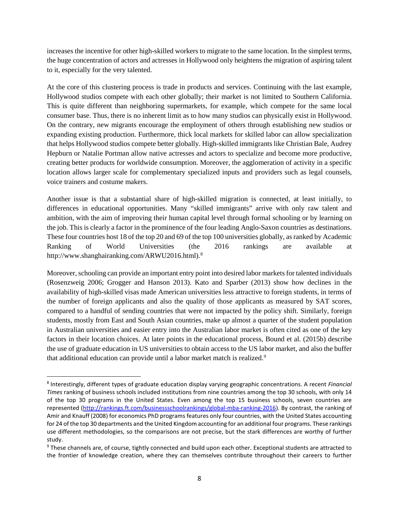increases the incentive for other high-skilled workers to migrate to the same location. In the simplest terms, the huge concentration of actors and actresses in Hollywood only heightens the migration of aspiring talent to it, especially for the very talented.

At the core of this clustering process is trade in products and services. Continuing with the last example, Hollywood studios compete with each other globally; their market is not limited to Southern California. This is quite different than neighboring supermarkets, for example, which compete for the same local consumer base. Thus, there is no inherent limit as to how many studios can physically exist in Hollywood. On the contrary, new migrants encourage the employment of others through establishing new studios or expanding existing production. Furthermore, thick local markets for skilled labor can allow specialization that helps Hollywood studios compete better globally. High-skilled immigrants like Christian Bale, Audrey Hepburn or Natalie Portman allow native actresses and actors to specialize and become more productive, creating better products for worldwide consumption. Moreover, the agglomeration of activity in a specific location allows larger scale for complementary specialized inputs and providers such as legal counsels, voice trainers and costume makers.

Another issue is that a substantial share of high-skilled migration is connected, at least initially, to differences in educational opportunities. Many "skilled immigrants" arrive with only raw talent and ambition, with the aim of improving their human capital level through formal schooling or by learning on the job. This is clearly a factor in the prominence of the four leading Anglo-Saxon countries as destinations. These four countries host 18 of the top 20 and 69 of the top 100 universities globally, as ranked by Academic Ranking of World Universities (the 2016 rankings are available at http://www.shanghairanking.com/ARWU2016.html).[8](#page-9-0)

Moreover, schooling can provide an important entry point into desired labor markets for talented individuals (Rosenzweig 2006; Grogger and Hanson 2013). Kato and Sparber (2013) show how declines in the availability of high-skilled visas made American universities less attractive to foreign students, in terms of the number of foreign applicants and also the quality of those applicants as measured by SAT scores, compared to a handful of sending countries that were not impacted by the policy shift. Similarly, foreign students, mostly from East and South Asian countries, make up almost a quarter of the student population in Australian universities and easier entry into the Australian labor market is often cited as one of the key factors in their location choices. At later points in the educational process, Bound et al. (2015b) describe the use of graduate education in US universities to obtain access to the US labor market, and also the buffer that additional education can provide until a labor market match is realized.<sup>[9](#page-9-1)</sup>

<span id="page-9-0"></span> <sup>8</sup> Interestingly, different types of graduate education display varying geographic concentrations. A recent *Financial Times* ranking of business schools included institutions from nine countries among the top 30 schools, with only 14 of the top 30 programs in the United States. Even among the top 15 business schools, seven countries are represented [\(http://rankings.ft.com/businessschoolrankings/global-mba-ranking-2016\)](http://rankings.ft.com/businessschoolrankings/global-mba-ranking-2016). By contrast, the ranking of Amir and Knauff (2008) for economics PhD programs features only four countries, with the United States accounting for 24 of the top 30 departments and the United Kingdom accounting for an additional four programs. These rankings use different methodologies, so the comparisons are not precise, but the stark differences are worthy of further study.

<span id="page-9-1"></span><sup>9</sup> These channels are, of course, tightly connected and build upon each other. Exceptional students are attracted to the frontier of knowledge creation, where they can themselves contribute throughout their careers to further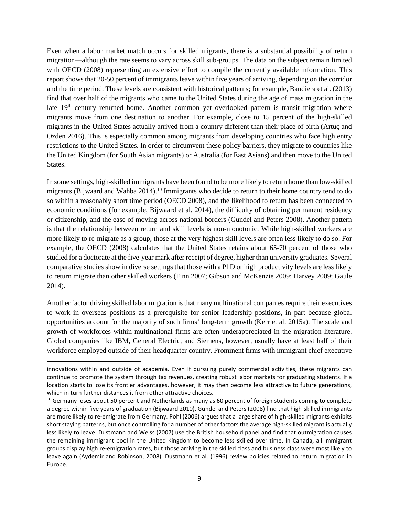Even when a labor market match occurs for skilled migrants, there is a substantial possibility of return migration—although the rate seems to vary across skill sub-groups. The data on the subject remain limited with OECD (2008) representing an extensive effort to compile the currently available information. This report shows that 20-50 percent of immigrants leave within five years of arriving, depending on the corridor and the time period. These levels are consistent with historical patterns; for example, Bandiera et al. (2013) find that over half of the migrants who came to the United States during the age of mass migration in the late 19<sup>th</sup> century returned home. Another common yet overlooked pattern is transit migration where migrants move from one destination to another. For example, close to 15 percent of the high-skilled migrants in the United States actually arrived from a country different than their place of birth (Artuç and Özden 2016). This is especially common among migrants from developing countries who face high entry restrictions to the United States. In order to circumvent these policy barriers, they migrate to countries like the United Kingdom (for South Asian migrants) or Australia (for East Asians) and then move to the United States.

In some settings, high-skilled immigrants have been found to be more likely to return home than low-skilled migrants (Bijwaard and Wahba 2014).<sup>[10](#page-10-0)</sup> Immigrants who decide to return to their home country tend to do so within a reasonably short time period (OECD 2008), and the likelihood to return has been connected to economic conditions (for example, Bijwaard et al. 2014), the difficulty of obtaining permanent residency or citizenship, and the ease of moving across national borders (Gundel and Peters 2008). Another pattern is that the relationship between return and skill levels is non-monotonic. While high-skilled workers are more likely to re-migrate as a group, those at the very highest skill levels are often less likely to do so. For example, the OECD (2008) calculates that the United States retains about 65-70 percent of those who studied for a doctorate at the five-year mark after receipt of degree, higher than university graduates. Several comparative studies show in diverse settings that those with a PhD or high productivity levels are less likely to return migrate than other skilled workers (Finn 2007; Gibson and McKenzie 2009; Harvey 2009; Gaule 2014).

Another factor driving skilled labor migration is that many multinational companies require their executives to work in overseas positions as a prerequisite for senior leadership positions, in part because global opportunities account for the majority of such firms' long-term growth (Kerr et al. 2015a). The scale and growth of workforces within multinational firms are often underappreciated in the migration literature. Global companies like IBM, General Electric, and Siemens, however, usually have at least half of their workforce employed outside of their headquarter country. Prominent firms with immigrant chief executive

 $\overline{\phantom{a}}$ 

innovations within and outside of academia. Even if pursuing purely commercial activities, these migrants can continue to promote the system through tax revenues, creating robust labor markets for graduating students. If a location starts to lose its frontier advantages, however, it may then become less attractive to future generations, which in turn further distances it from other attractive choices.

<span id="page-10-0"></span><sup>&</sup>lt;sup>10</sup> Germany loses about 50 percent and Netherlands as many as 60 percent of foreign students coming to complete a degree within five years of graduation (Bijwaard 2010). Gundel and Peters (2008) find that high-skilled immigrants are more likely to re-emigrate from Germany. Pohl (2006) argues that a large share of high-skilled migrants exhibits short staying patterns, but once controlling for a number of other factors the average high-skilled migrant is actually less likely to leave. Dustmann and Weiss (2007) use the British household panel and find that outmigration causes the remaining immigrant pool in the United Kingdom to become less skilled over time. In Canada, all immigrant groups display high re-emigration rates, but those arriving in the skilled class and business class were most likely to leave again (Aydemir and Robinson, 2008). Dustmann et al. (1996) review policies related to return migration in Europe.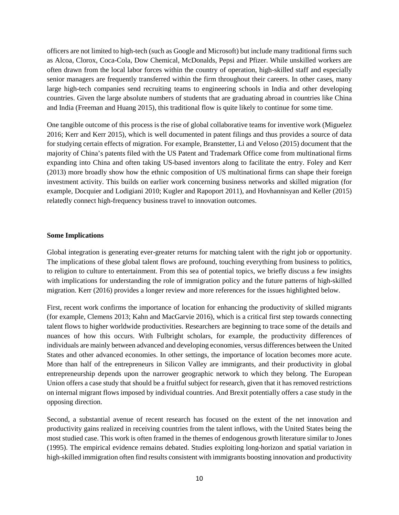officers are not limited to high-tech (such as Google and Microsoft) but include many traditional firms such as Alcoa, Clorox, Coca-Cola, Dow Chemical, McDonalds, Pepsi and Pfizer. While unskilled workers are often drawn from the local labor forces within the country of operation, high-skilled staff and especially senior managers are frequently transferred within the firm throughout their careers. In other cases, many large high-tech companies send recruiting teams to engineering schools in India and other developing countries. Given the large absolute numbers of students that are graduating abroad in countries like China and India (Freeman and Huang 2015), this traditional flow is quite likely to continue for some time.

One tangible outcome of this process is the rise of global collaborative teams for inventive work (Miguelez 2016; Kerr and Kerr 2015), which is well documented in patent filings and thus provides a source of data for studying certain effects of migration. For example, Branstetter, Li and Veloso (2015) document that the majority of China's patents filed with the US Patent and Trademark Office come from multinational firms expanding into China and often taking US-based inventors along to facilitate the entry. Foley and Kerr (2013) more broadly show how the ethnic composition of US multinational firms can shape their foreign investment activity. This builds on earlier work concerning business networks and skilled migration (for example, Docquier and Lodigiani 2010; Kugler and Rapoport 2011), and Hovhannisyan and Keller (2015) relatedly connect high-frequency business travel to innovation outcomes.

#### **Some Implications**

Global integration is generating ever-greater returns for matching talent with the right job or opportunity. The implications of these global talent flows are profound, touching everything from business to politics, to religion to culture to entertainment. From this sea of potential topics, we briefly discuss a few insights with implications for understanding the role of immigration policy and the future patterns of high-skilled migration. Kerr (2016) provides a longer review and more references for the issues highlighted below.

First, recent work confirms the importance of location for enhancing the productivity of skilled migrants (for example, Clemens 2013; Kahn and MacGarvie 2016), which is a critical first step towards connecting talent flows to higher worldwide productivities. Researchers are beginning to trace some of the details and nuances of how this occurs. With Fulbright scholars, for example, the productivity differences of individuals are mainly between advanced and developing economies, versus differences between the United States and other advanced economies. In other settings, the importance of location becomes more acute. More than half of the entrepreneurs in Silicon Valley are immigrants, and their productivity in global entrepreneurship depends upon the narrower geographic network to which they belong. The European Union offers a case study that should be a fruitful subject for research, given that it has removed restrictions on internal migrant flows imposed by individual countries. And Brexit potentially offers a case study in the opposing direction.

Second, a substantial avenue of recent research has focused on the extent of the net innovation and productivity gains realized in receiving countries from the talent inflows, with the United States being the most studied case. This work is often framed in the themes of endogenous growth literature similar to Jones (1995). The empirical evidence remains debated. Studies exploiting long-horizon and spatial variation in high-skilled immigration often find results consistent with immigrants boosting innovation and productivity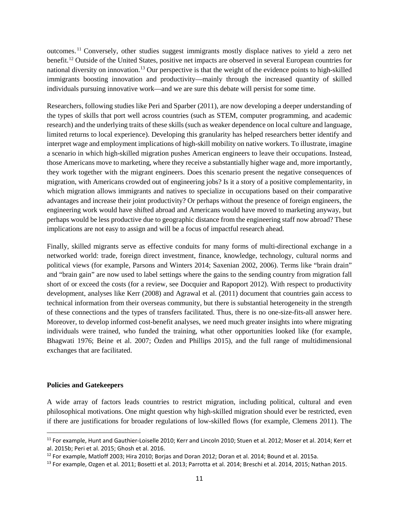outcomes. [11](#page-12-0) Conversely, other studies suggest immigrants mostly displace natives to yield a zero net benefit. [12](#page-12-1) Outside of the United States, positive net impacts are observed in several European countries for national diversity on innovation.<sup>[13](#page-12-2)</sup> Our perspective is that the weight of the evidence points to high-skilled immigrants boosting innovation and productivity—mainly through the increased quantity of skilled individuals pursuing innovative work—and we are sure this debate will persist for some time.

Researchers, following studies like Peri and Sparber (2011), are now developing a deeper understanding of the types of skills that port well across countries (such as STEM, computer programming, and academic research) and the underlying traits of these skills (such as weaker dependence on local culture and language, limited returns to local experience). Developing this granularity has helped researchers better identify and interpret wage and employment implications of high-skill mobility on native workers. To illustrate, imagine a scenario in which high-skilled migration pushes American engineers to leave their occupations. Instead, those Americans move to marketing, where they receive a substantially higher wage and, more importantly, they work together with the migrant engineers. Does this scenario present the negative consequences of migration, with Americans crowded out of engineering jobs? Is it a story of a positive complementarity, in which migration allows immigrants and natives to specialize in occupations based on their comparative advantages and increase their joint productivity? Or perhaps without the presence of foreign engineers, the engineering work would have shifted abroad and Americans would have moved to marketing anyway, but perhaps would be less productive due to geographic distance from the engineering staff now abroad? These implications are not easy to assign and will be a focus of impactful research ahead.

Finally, skilled migrants serve as effective conduits for many forms of multi-directional exchange in a networked world: trade, foreign direct investment, finance, knowledge, technology, cultural norms and political views (for example, Parsons and Winters 2014; Saxenian 2002, 2006). Terms like "brain drain" and "brain gain" are now used to label settings where the gains to the sending country from migration fall short of or exceed the costs (for a review, see Docquier and Rapoport 2012). With respect to productivity development, analyses like Kerr (2008) and Agrawal et al. (2011) document that countries gain access to technical information from their overseas community, but there is substantial heterogeneity in the strength of these connections and the types of transfers facilitated. Thus, there is no one-size-fits-all answer here. Moreover, to develop informed cost-benefit analyses, we need much greater insights into where migrating individuals were trained, who funded the training, what other opportunities looked like (for example, Bhagwati 1976; Beine et al. 2007; Özden and Phillips 2015), and the full range of multidimensional exchanges that are facilitated.

#### **Policies and Gatekeepers**

A wide array of factors leads countries to restrict migration, including political, cultural and even philosophical motivations. One might question why high-skilled migration should ever be restricted, even if there are justifications for broader regulations of low-skilled flows (for example, Clemens 2011). The

<span id="page-12-0"></span><sup>&</sup>lt;sup>11</sup> For example, Hunt and Gauthier-Loiselle 2010; Kerr and Lincoln 2010; Stuen et al. 2012; Moser et al. 2014; Kerr et al. 2015b; Peri et al. 2015; Ghosh et al. 2016.

<span id="page-12-1"></span><sup>&</sup>lt;sup>12</sup> For example, Matloff 2003; Hira 2010; Borjas and Doran 2012; Doran et al. 2014; Bound et al. 2015a.

<span id="page-12-2"></span><sup>&</sup>lt;sup>13</sup> For example, Ozgen et al. 2011; Bosetti et al. 2013; Parrotta et al. 2014; Breschi et al. 2014, 2015; Nathan 2015.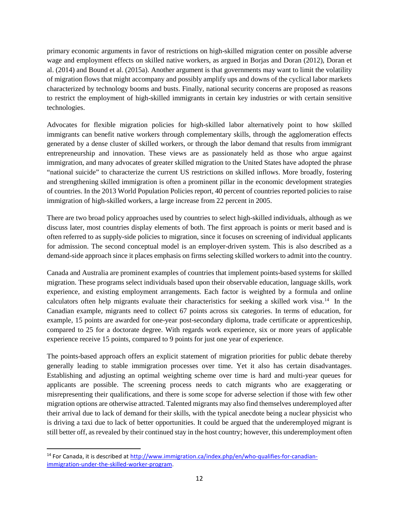primary economic arguments in favor of restrictions on high-skilled migration center on possible adverse wage and employment effects on skilled native workers, as argued in Borjas and Doran (2012), Doran et al. (2014) and Bound et al. (2015a). Another argument is that governments may want to limit the volatility of migration flows that might accompany and possibly amplify ups and downs of the cyclical labor markets characterized by technology booms and busts. Finally, national security concerns are proposed as reasons to restrict the employment of high-skilled immigrants in certain key industries or with certain sensitive technologies.

Advocates for flexible migration policies for high-skilled labor alternatively point to how skilled immigrants can benefit native workers through complementary skills, through the agglomeration effects generated by a dense cluster of skilled workers, or through the labor demand that results from immigrant entrepreneurship and innovation. These views are as passionately held as those who argue against immigration, and many advocates of greater skilled migration to the United States have adopted the phrase "national suicide" to characterize the current US restrictions on skilled inflows. More broadly, fostering and strengthening skilled immigration is often a prominent pillar in the economic development strategies of countries. In the 2013 World Population Policies report, 40 percent of countries reported policies to raise immigration of high-skilled workers, a large increase from 22 percent in 2005.

There are two broad policy approaches used by countries to select high-skilled individuals, although as we discuss later, most countries display elements of both. The first approach is points or merit based and is often referred to as supply-side policies to migration, since it focuses on screening of individual applicants for admission. The second conceptual model is an employer-driven system. This is also described as a demand-side approach since it places emphasis on firms selecting skilled workers to admit into the country.

Canada and Australia are prominent examples of countries that implement points-based systems for skilled migration. These programs select individuals based upon their observable education, language skills, work experience, and existing employment arrangements. Each factor is weighted by a formula and online calculators often help migrants evaluate their characteristics for seeking a skilled work visa.[14](#page-13-0) In the Canadian example, migrants need to collect 67 points across six categories. In terms of education, for example, 15 points are awarded for one-year post-secondary diploma, trade certificate or apprenticeship, compared to 25 for a doctorate degree. With regards work experience, six or more years of applicable experience receive 15 points, compared to 9 points for just one year of experience.

The points-based approach offers an explicit statement of migration priorities for public debate thereby generally leading to stable immigration processes over time. Yet it also has certain disadvantages. Establishing and adjusting an optimal weighting scheme over time is hard and multi-year queues for applicants are possible. The screening process needs to catch migrants who are exaggerating or misrepresenting their qualifications, and there is some scope for adverse selection if those with few other migration options are otherwise attracted. Talented migrants may also find themselves underemployed after their arrival due to lack of demand for their skills, with the typical anecdote being a nuclear physicist who is driving a taxi due to lack of better opportunities. It could be argued that the underemployed migrant is still better off, as revealed by their continued stay in the host country; however, this underemployment often

<span id="page-13-0"></span><sup>&</sup>lt;sup>14</sup> For Canada, it is described at [http://www.immigration.ca/index.php/en/who-qualifies-for-canadian](http://www.immigration.ca/index.php/en/who-qualifies-for-canadian-immigration-under-the-skilled-worker-program)[immigration-under-the-skilled-worker-program.](http://www.immigration.ca/index.php/en/who-qualifies-for-canadian-immigration-under-the-skilled-worker-program)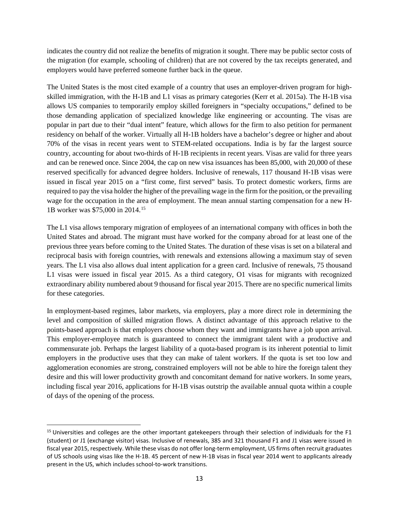indicates the country did not realize the benefits of migration it sought. There may be public sector costs of the migration (for example, schooling of children) that are not covered by the tax receipts generated, and employers would have preferred someone further back in the queue.

The United States is the most cited example of a country that uses an employer-driven program for highskilled immigration, with the H-1B and L1 visas as primary categories (Kerr et al. 2015a). The H-1B visa allows US companies to temporarily employ skilled foreigners in "specialty occupations," defined to be those demanding application of specialized knowledge like engineering or accounting. The visas are popular in part due to their "dual intent" feature, which allows for the firm to also petition for permanent residency on behalf of the worker. Virtually all H-1B holders have a bachelor's degree or higher and about 70% of the visas in recent years went to STEM-related occupations. India is by far the largest source country, accounting for about two-thirds of H-1B recipients in recent years. Visas are valid for three years and can be renewed once. Since 2004, the cap on new visa issuances has been 85,000, with 20,000 of these reserved specifically for advanced degree holders. Inclusive of renewals, 117 thousand H-1B visas were issued in fiscal year 2015 on a "first come, first served" basis. To protect domestic workers, firms are required to pay the visa holder the higher of the prevailing wage in the firm for the position, or the prevailing wage for the occupation in the area of employment. The mean annual starting compensation for a new H-1B worker was \$75,000 in 2014[.15](#page-14-0)

The L1 visa allows temporary migration of employees of an international company with offices in both the United States and abroad. The migrant must have worked for the company abroad for at least one of the previous three years before coming to the United States. The duration of these visas is set on a bilateral and reciprocal basis with foreign countries, with renewals and extensions allowing a maximum stay of seven years. The L1 visa also allows dual intent application for a green card. Inclusive of renewals, 75 thousand L1 visas were issued in fiscal year 2015. As a third category, O1 visas for migrants with recognized extraordinary ability numbered about 9 thousand for fiscal year 2015. There are no specific numerical limits for these categories.

In employment-based regimes, labor markets, via employers, play a more direct role in determining the level and composition of skilled migration flows. A distinct advantage of this approach relative to the points-based approach is that employers choose whom they want and immigrants have a job upon arrival. This employer-employee match is guaranteed to connect the immigrant talent with a productive and commensurate job. Perhaps the largest liability of a quota-based program is its inherent potential to limit employers in the productive uses that they can make of talent workers. If the quota is set too low and agglomeration economies are strong, constrained employers will not be able to hire the foreign talent they desire and this will lower productivity growth and concomitant demand for native workers. In some years, including fiscal year 2016, applications for H-1B visas outstrip the available annual quota within a couple of days of the opening of the process.

<span id="page-14-0"></span><sup>&</sup>lt;sup>15</sup> Universities and colleges are the other important gatekeepers through their selection of individuals for the F1 (student) or J1 (exchange visitor) visas. Inclusive of renewals, 385 and 321 thousand F1 and J1 visas were issued in fiscal year 2015, respectively. While these visas do not offer long-term employment, US firms often recruit graduates of US schools using visas like the H-1B. 45 percent of new H-1B visas in fiscal year 2014 went to applicants already present in the US, which includes school-to-work transitions.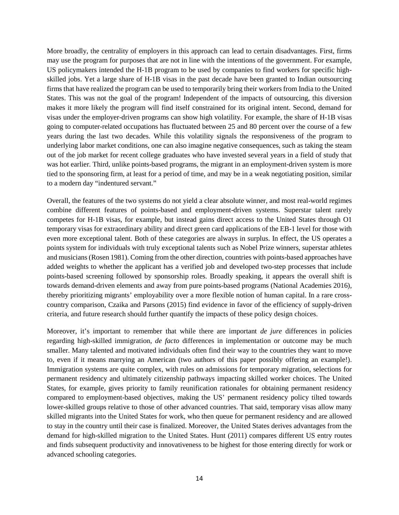More broadly, the centrality of employers in this approach can lead to certain disadvantages. First, firms may use the program for purposes that are not in line with the intentions of the government. For example, US policymakers intended the H-1B program to be used by companies to find workers for specific highskilled jobs. Yet a large share of H-1B visas in the past decade have been granted to Indian outsourcing firms that have realized the program can be used to temporarily bring their workers from India to the United States. This was not the goal of the program! Independent of the impacts of outsourcing, this diversion makes it more likely the program will find itself constrained for its original intent. Second, demand for visas under the employer-driven programs can show high volatility. For example, the share of H-1B visas going to computer-related occupations has fluctuated between 25 and 80 percent over the course of a few years during the last two decades. While this volatility signals the responsiveness of the program to underlying labor market conditions, one can also imagine negative consequences, such as taking the steam out of the job market for recent college graduates who have invested several years in a field of study that was hot earlier. Third, unlike points-based programs, the migrant in an employment-driven system is more tied to the sponsoring firm, at least for a period of time, and may be in a weak negotiating position, similar to a modern day "indentured servant."

Overall, the features of the two systems do not yield a clear absolute winner, and most real-world regimes combine different features of points-based and employment-driven systems. Superstar talent rarely competes for H-1B visas, for example, but instead gains direct access to the United States through O1 temporary visas for extraordinary ability and direct green card applications of the EB-1 level for those with even more exceptional talent. Both of these categories are always in surplus. In effect, the US operates a points system for individuals with truly exceptional talents such as Nobel Prize winners, superstar athletes and musicians (Rosen 1981). Coming from the other direction, countries with points-based approaches have added weights to whether the applicant has a verified job and developed two-step processes that include points-based screening followed by sponsorship roles. Broadly speaking, it appears the overall shift is towards demand-driven elements and away from pure points-based programs (National Academies 2016), thereby prioritizing migrants' employability over a more flexible notion of human capital. In a rare crosscountry comparison, Czaika and Parsons (2015) find evidence in favor of the efficiency of supply-driven criteria, and future research should further quantify the impacts of these policy design choices.

Moreover, it's important to remember that while there are important *de jure* differences in policies regarding high-skilled immigration, *de facto* differences in implementation or outcome may be much smaller. Many talented and motivated individuals often find their way to the countries they want to move to, even if it means marrying an American (two authors of this paper possibly offering an example!). Immigration systems are quite complex, with rules on admissions for temporary migration, selections for permanent residency and ultimately citizenship pathways impacting skilled worker choices. The United States, for example, gives priority to family reunification rationales for obtaining permanent residency compared to employment-based objectives, making the US' permanent residency policy tilted towards lower-skilled groups relative to those of other advanced countries. That said, temporary visas allow many skilled migrants into the United States for work, who then queue for permanent residency and are allowed to stay in the country until their case is finalized. Moreover, the United States derives advantages from the demand for high-skilled migration to the United States. Hunt (2011) compares different US entry routes and finds subsequent productivity and innovativeness to be highest for those entering directly for work or advanced schooling categories.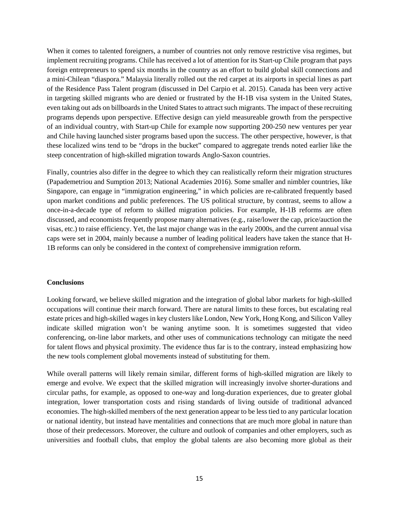When it comes to talented foreigners, a number of countries not only remove restrictive visa regimes, but implement recruiting programs. Chile has received a lot of attention for its Start-up Chile program that pays foreign entrepreneurs to spend six months in the country as an effort to build global skill connections and a mini-Chilean "diaspora." Malaysia literally rolled out the red carpet at its airports in special lines as part of the Residence Pass Talent program (discussed in Del Carpio et al. 2015). Canada has been very active in targeting skilled migrants who are denied or frustrated by the H-1B visa system in the United States, even taking out ads on billboards in the United States to attract such migrants. The impact of these recruiting programs depends upon perspective. Effective design can yield measureable growth from the perspective of an individual country, with Start-up Chile for example now supporting 200-250 new ventures per year and Chile having launched sister programs based upon the success. The other perspective, however, is that these localized wins tend to be "drops in the bucket" compared to aggregate trends noted earlier like the steep concentration of high-skilled migration towards Anglo-Saxon countries.

Finally, countries also differ in the degree to which they can realistically reform their migration structures (Papademetriou and Sumption 2013; National Academies 2016). Some smaller and nimbler countries, like Singapore, can engage in "immigration engineering," in which policies are re-calibrated frequently based upon market conditions and public preferences. The US political structure, by contrast, seems to allow a once-in-a-decade type of reform to skilled migration policies. For example, H-1B reforms are often discussed, and economists frequently propose many alternatives (e.g., raise/lower the cap, price/auction the visas, etc.) to raise efficiency. Yet, the last major change was in the early 2000s, and the current annual visa caps were set in 2004, mainly because a number of leading political leaders have taken the stance that H-1B reforms can only be considered in the context of comprehensive immigration reform.

#### **Conclusions**

Looking forward, we believe skilled migration and the integration of global labor markets for high-skilled occupations will continue their march forward. There are natural limits to these forces, but escalating real estate prices and high-skilled wages in key clusters like London, New York, Hong Kong, and Silicon Valley indicate skilled migration won't be waning anytime soon. It is sometimes suggested that video conferencing, on-line labor markets, and other uses of communications technology can mitigate the need for talent flows and physical proximity. The evidence thus far is to the contrary, instead emphasizing how the new tools complement global movements instead of substituting for them.

While overall patterns will likely remain similar, different forms of high-skilled migration are likely to emerge and evolve. We expect that the skilled migration will increasingly involve shorter-durations and circular paths, for example, as opposed to one-way and long-duration experiences, due to greater global integration, lower transportation costs and rising standards of living outside of traditional advanced economies. The high-skilled members of the next generation appear to be less tied to any particular location or national identity, but instead have mentalities and connections that are much more global in nature than those of their predecessors. Moreover, the culture and outlook of companies and other employers, such as universities and football clubs, that employ the global talents are also becoming more global as their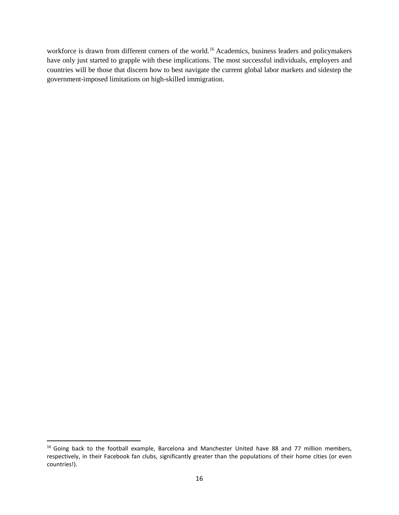workforce is drawn from different corners of the world.<sup>[16](#page-17-0)</sup> Academics, business leaders and policymakers have only just started to grapple with these implications. The most successful individuals, employers and countries will be those that discern how to best navigate the current global labor markets and sidestep the government-imposed limitations on high-skilled immigration.

<span id="page-17-0"></span><sup>&</sup>lt;sup>16</sup> Going back to the football example, Barcelona and Manchester United have 88 and 77 million members, respectively, in their Facebook fan clubs, significantly greater than the populations of their home cities (or even countries!).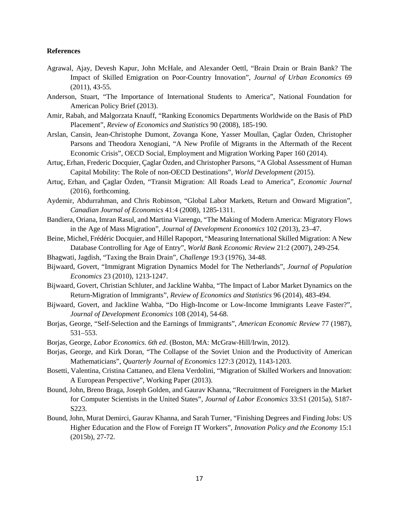#### **References**

- Agrawal, Ajay, Devesh Kapur, John McHale, and Alexander Oettl, "Brain Drain or Brain Bank? The Impact of Skilled Emigration on Poor-Country Innovation", *Journal of Urban Economics* 69 (2011), 43-55.
- Anderson, Stuart, "The Importance of International Students to America", National Foundation for American Policy Brief (2013).
- Amir, Rabah, and Malgorzata Knauff, "Ranking Economics Departments Worldwide on the Basis of PhD Placement", *Review of Economics and Statistics* 90 (2008), 185-190.
- Arslan, Cansin, Jean-Christophe Dumont, Zovanga Kone, Yasser Moullan, Çaglar Özden, Christopher Parsons and Theodora Xenogiani, "A New Profile of Migrants in the Aftermath of the Recent Economic Crisis", OECD Social, Employment and Migration Working Paper 160 (2014).
- Artuç, Erhan, Frederic Docquier, Çaglar Özden, and Christopher Parsons, "A Global Assessment of Human Capital Mobility: The Role of non-OECD Destinations", *World Development* (2015).
- Artuç, Erhan, and Çaglar Özden, "Transit Migration: All Roads Lead to America", *Economic Journal* (2016), forthcoming.
- Aydemir, Abdurrahman, and Chris Robinson, "Global Labor Markets, Return and Onward Migration", *Canadian Journal of Economics* 41:4 (2008), 1285-1311.
- Bandiera, Oriana, Imran Rasul, and Martina Viarengo, "The Making of Modern America: Migratory Flows in the Age of Mass Migration", *Journal of Development Economics* 102 (2013), 23–47.
- Beine, Michel, Frédéric Docquier, and Hillel Rapoport, "Measuring International Skilled Migration: A New Database Controlling for Age of Entry", *World Bank Economic Review* 21:2 (2007), 249-254.
- Bhagwati, Jagdish, "Taxing the Brain Drain", *Challenge* 19:3 (1976), 34-48.
- Bijwaard, Govert, "Immigrant Migration Dynamics Model for The Netherlands", *Journal of Population Economics* 23 (2010), 1213-1247.
- Bijwaard, Govert, Christian Schluter, and Jackline Wahba, "The Impact of Labor Market Dynamics on the Return-Migration of Immigrants", *Review of Economics and Statistics* 96 (2014), 483-494.
- Bijwaard, Govert, and Jackline Wahba, "Do High-Income or Low-Income Immigrants Leave Faster?", *Journal of Development Economics* 108 (2014), 54-68.
- Borjas, George, "Self-Selection and the Earnings of Immigrants", *American Economic Review* 77 (1987), 531–553.
- Borjas, George, *Labor Economics. 6th ed*. (Boston, MA: McGraw-Hill/Irwin, 2012).
- Borjas, George, and Kirk Doran, "The Collapse of the Soviet Union and the Productivity of American Mathematicians", *Quarterly Journal of Economics* 127:3 (2012), 1143-1203.
- Bosetti, Valentina, Cristina Cattaneo, and Elena Verdolini, "Migration of Skilled Workers and Innovation: A European Perspective", Working Paper (2013).
- Bound, John, Breno Braga, Joseph Golden, and Gaurav Khanna, "Recruitment of Foreigners in the Market for Computer Scientists in the United States", *Journal of Labor Economics* 33:S1 (2015a), S187- S223.
- Bound, John, Murat Demirci, Gaurav Khanna, and Sarah Turner, "Finishing Degrees and Finding Jobs: US Higher Education and the Flow of Foreign IT Workers", *Innovation Policy and the Economy* 15:1 (2015b), 27-72.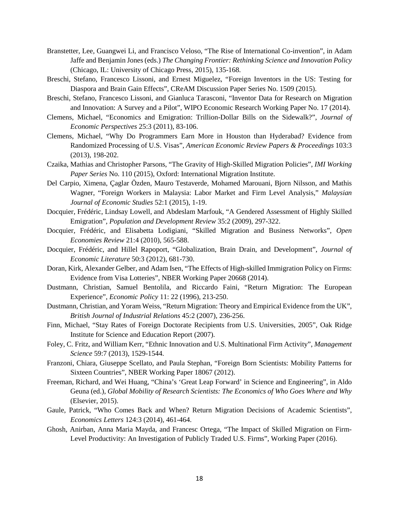- Branstetter, Lee, Guangwei Li, and Francisco Veloso, "The Rise of International Co-invention", in Adam Jaffe and Benjamin Jones (eds.) *The Changing Frontier: Rethinking Science and Innovation Policy* (Chicago, IL: University of Chicago Press, 2015), 135-168.
- Breschi, Stefano, Francesco Lissoni, and Ernest Miguelez, "Foreign Inventors in the US: Testing for Diaspora and Brain Gain Effects", CReAM Discussion Paper Series No. 1509 (2015).
- Breschi, Stefano, Francesco Lissoni, and Gianluca Tarasconi, "Inventor Data for Research on Migration and Innovation: A Survey and a Pilot", WIPO Economic Research Working Paper No. 17 (2014).
- Clemens, Michael, "Economics and Emigration: Trillion-Dollar Bills on the Sidewalk?", *Journal of Economic Perspectives* 25:3 (2011), 83-106.
- Clemens, Michael, "Why Do Programmers Earn More in Houston than Hyderabad? Evidence from Randomized Processing of U.S. Visas", *American Economic Review Papers & Proceedings* 103:3 (2013), 198-202.
- Czaika, Mathias and Christopher Parsons, "The Gravity of High-Skilled Migration Policies", *IMI Working Paper Series* No. 110 (2015), Oxford: International Migration Institute.
- Del Carpio, Ximena, Çaglar Özden, Mauro Testaverde, Mohamed Marouani, Bjorn Nilsson, and Mathis Wagner, "Foreign Workers in Malaysia: Labor Market and Firm Level Analysis," *Malaysian Journal of Economic Studies* 52:1 (2015), 1-19.
- Docquier, Frédéric, Lindsay Lowell, and Abdeslam Marfouk, "A Gendered Assessment of Highly Skilled Emigration", *Population and Development Review* 35:2 (2009), 297-322.
- Docquier, Frédéric, and Elisabetta Lodigiani, "Skilled Migration and Business Networks", *Open Economies Review* 21:4 (2010), 565-588.
- Docquier, Frédéric, and Hillel Rapoport, "Globalization, Brain Drain, and Development", *Journal of Economic Literature* 50:3 (2012), 681-730.
- Doran, Kirk, Alexander Gelber, and Adam Isen, "The Effects of High-skilled Immigration Policy on Firms: Evidence from Visa Lotteries", NBER Working Paper 20668 (2014).
- Dustmann, Christian, Samuel Bentolila, and Riccardo Faini, "Return Migration: The European Experience", *Economic Policy* 11: 22 (1996), 213-250.
- Dustmann, Christian, and Yoram Weiss, "Return Migration: Theory and Empirical Evidence from the UK", *British Journal of Industrial Relations* 45:2 (2007), 236-256.
- Finn, Michael, "Stay Rates of Foreign Doctorate Recipients from U.S. Universities, 2005", Oak Ridge Institute for Science and Education Report (2007).
- Foley, C. Fritz, and William Kerr, "Ethnic Innovation and U.S. Multinational Firm Activity", *Management Science* 59:7 (2013), 1529-1544.
- Franzoni, Chiara, Giuseppe Scellato, and Paula Stephan, "Foreign Born Scientists: Mobility Patterns for Sixteen Countries", [NBER Working Paper](https://ideas.repec.org/s/nbr/nberwo.html) 18067 (2012).
- Freeman, Richard, and Wei Huang, "China's 'Great Leap Forward' in Science and Engineering", in Aldo Geuna (ed.), *Global Mobility of Research Scientists: The Economics of Who Goes Where and Why* (Elsevier, 2015).
- Gaule, Patrick, "Who Comes Back and When? Return Migration Decisions of Academic Scientists", *Economics Letters* 124:3 (2014), 461-464.
- Ghosh, Anirban, Anna Maria Mayda, and Francesc Ortega, "The Impact of Skilled Migration on Firm-Level Productivity: An Investigation of Publicly Traded U.S. Firms", Working Paper (2016).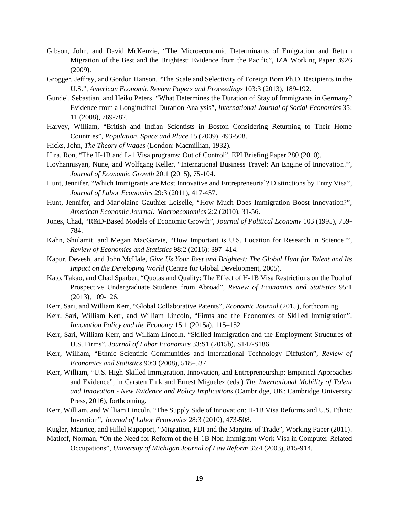- Gibson, John, and David McKenzie, "The Microeconomic Determinants of Emigration and Return Migration of the Best and the Brightest: Evidence from the Pacific", IZA Working Paper 3926 (2009).
- Grogger, Jeffrey, and Gordon Hanson, "The Scale and Selectivity of Foreign Born Ph.D. Recipients in the U.S.", *American Economic Review Papers and Proceedings* 103:3 (2013), 189-192.
- Gundel, Sebastian, and Heiko Peters, "What Determines the Duration of Stay of Immigrants in Germany? Evidence from a Longitudinal Duration Analysis", *International Journal of Social Economics* 35: 11 (2008), 769-782.
- Harvey, William, "British and Indian Scientists in Boston Considering Returning to Their Home Countries", *Population, Space and Place* 15 (2009), 493-508.
- Hicks, John, *The Theory of Wages* (London: Macmillian, 1932).
- Hira, Ron, "The H-1B and L-1 Visa programs: Out of Control", EPI Briefing Paper 280 (2010).
- Hovhannisyan, Nune, and Wolfgang Keller, "International Business Travel: An Engine of Innovation?", *Journal of Economic Growth* 20:1 (2015), 75-104.
- Hunt, Jennifer, "Which Immigrants are Most Innovative and Entrepreneurial? Distinctions by Entry Visa", *Journal of Labor Economics* 29:3 (2011), 417-457.
- Hunt, Jennifer, and Marjolaine Gauthier-Loiselle, "How Much Does Immigration Boost Innovation?", *American Economic Journal: Macroeconomics* 2:2 (2010), 31-56.
- Jones, Chad, "R&D-Based Models of Economic Growth", *Journal of Political Economy* 103 (1995), 759- 784.
- Kahn, Shulamit, and Megan MacGarvie, "How Important is U.S. Location for Research in Science?", *Review of Economics and Statistics* 98:2 (2016): 397–414.
- Kapur, Devesh, and John McHale, *Give Us Your Best and Brightest: The Global Hunt for Talent and Its Impact on the Developing World* (Centre for Global Development, 2005).
- Kato, Takao, and Chad Sparber, "Quotas and Quality: The Effect of H-1B Visa Restrictions on the Pool of Prospective Undergraduate Students from Abroad", *Review of Economics and Statistics* 95:1 (2013), 109-126.
- Kerr, Sari, and William Kerr, "Global Collaborative Patents", *Economic Journal* (2015), forthcoming.
- Kerr, Sari, William Kerr, and William Lincoln, "Firms and the Economics of Skilled Immigration", *Innovation Policy and the Economy* 15:1 (2015a), 115–152.
- Kerr, Sari, William Kerr, and William Lincoln, "Skilled Immigration and the Employment Structures of U.S. Firms", *Journal of Labor Economics* 33:S1 (2015b), S147-S186.
- Kerr, William, "Ethnic Scientific Communities and International Technology Diffusion", *Review of Economics and Statistics* 90:3 (2008), 518–537.
- Kerr, William, "U.S. High-Skilled Immigration, Innovation, and Entrepreneurship: Empirical Approaches and Evidence", in Carsten Fink and Ernest Miguelez (eds.) *The International Mobility of Talent and Innovation - New Evidence and Policy Implications* (Cambridge, UK: Cambridge University Press, 2016), forthcoming.
- Kerr, William, and William Lincoln, "The Supply Side of Innovation: H-1B Visa Reforms and U.S. Ethnic Invention", *Journal of Labor Economics* 28:3 (2010), 473-508.
- Kugler, Maurice, and Hillel Rapoport, "Migration, FDI and the Margins of Trade", Working Paper (2011).
- Matloff, Norman, "On the Need for Reform of the H-1B Non-Immigrant Work Visa in Computer-Related Occupations", *University of Michigan Journal of Law Reform* 36:4 (2003), 815-914.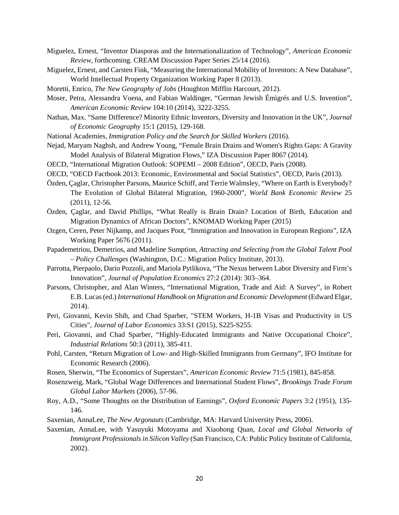- Miguelez, Ernest, "Inventor Diasporas and the Internationalization of Technology", *American Economic Review*, forthcoming. CREAM Discussion Paper Series 25/14 (2016).
- Miguelez, Ernest, and Carsten Fink, "Measuring the International Mobility of Inventors: A New Database", World Intellectual Property Organization Working Paper 8 (2013).
- Moretti, Enrico, *The New Geography of Jobs* (Houghton Mifflin Harcourt, 2012).
- Moser, Petra, Alessandra Voena, and Fabian Waldinger, "German Jewish Émigrés and U.S. Invention", *American Economic Review* 104:10 (2014), 3222-3255.
- Nathan, Max. "Same Difference? Minority Ethnic Inventors, Diversity and Innovation in the UK", *Journal of Economic Geography* 15:1 (2015), 129-168.
- National Academies, *Immigration Policy and the Search for Skilled Workers* (2016).
- Nejad, Maryam Naghsh, and Andrew Young, "Female Brain Drains and Women's Rights Gaps: A Gravity Model Analysis of Bilateral Migration Flows," IZA Discussion Paper 8067 (2014).
- OECD, "International Migration Outlook: SOPEMI 2008 Edition", OECD, Paris (2008).
- OECD, "OECD Factbook 2013: Economic, Environmental and Social Statistics", OECD, Paris (2013).
- Özden, Çaglar, Christopher Parsons, Maurice Schiff, and Terrie Walmsley, "Where on Earth is Everybody? The Evolution of Global Bilateral Migration, 1960-2000", *World Bank Economic Review* 25 (2011), 12-56.
- Özden, Çaglar, and David Phillips, "What Really is Brain Drain? Location of Birth, Education and Migration Dynamics of African Doctors", KNOMAD Working Paper (2015)
- Ozgen, Ceren, Peter Nijkamp, and Jacques Poot, "Immigration and Innovation in European Regions", IZA Working Paper 5676 (2011).
- Papademetriou, Demetrios, and Madeline Sumption, *Attracting and Selecting from the Global Talent Pool – Policy Challenges* (Washington, D.C.: Migration Policy Institute, 2013).
- Parrotta, Pierpaolo, Dario Pozzoli, and Mariola Pytlikova, "The Nexus between Labor Diversity and Firm's Innovation", *Journal of Population Economics* 27:2 (2014): 303–364.
- Parsons, Christopher, and Alan Winters, "International Migration, Trade and Aid: A Survey", in Robert E.B. Lucas (ed.) *International Handbook on Migration and Economic Development* (Edward Elgar, 2014).
- Peri, Giovanni, Kevin Shih, and Chad Sparber, "STEM Workers, H-1B Visas and Productivity in US Cities", *Journal of Labor Economics* 33:S1 (2015), S225-S255.
- Peri, Giovanni, and Chad Sparber, "Highly-Educated Immigrants and Native Occupational Choice", *Industrial Relations* 50:3 (2011), 385-411.
- Pohl, Carsten, "Return Migration of Low- and High-Skilled Immigrants from Germany", IFO Institute for Economic Research (2006).
- Rosen, Sherwin, "The Economics of Superstars", *American Economic Review* 71:5 (1981), 845-858.
- Rosenzweig, Mark, "Global Wage Differences and International Student Flows", *Brookings Trade Forum Global Labor Markets* (2006), 57-96.
- Roy, A.D., "Some Thoughts on the Distribution of Earnings", *Oxford Economic Papers* 3:2 (1951), 135- 146.
- Saxenian, AnnaLee, *The New Argonauts* (Cambridge, MA: Harvard University Press, 2006).
- Saxenian, AnnaLee, with Yasuyuki Motoyama and Xiaohong Quan, *Local and Global Networks of Immigrant Professionals in Silicon Valley* (San Francisco, CA: Public Policy Institute of California, 2002).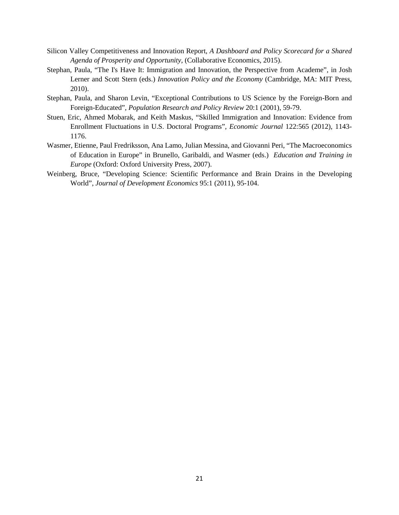- Silicon Valley Competitiveness and Innovation Report, *A Dashboard and Policy Scorecard for a Shared Agenda of Prosperity and Opportunity*, (Collaborative Economics, 2015).
- Stephan, Paula, "The I's Have It: Immigration and Innovation, the Perspective from Academe", in Josh Lerner and Scott Stern (eds.) *Innovation Policy and the Economy* (Cambridge, MA: MIT Press, 2010).
- Stephan, Paula, and Sharon Levin, "Exceptional Contributions to US Science by the Foreign-Born and Foreign-Educated", *Population Research and Policy Review* 20:1 (2001), 59-79.
- Stuen, Eric, Ahmed Mobarak, and Keith Maskus, "Skilled Immigration and Innovation: Evidence from Enrollment Fluctuations in U.S. Doctoral Programs", *Economic Journal* 122:565 (2012), 1143- 1176.
- Wasmer, Etienne, Paul Fredriksson, Ana Lamo, Julian Messina, and Giovanni Peri, "The Macroeconomics of Education in Europe" in Brunello, Garibaldi, and Wasmer (eds.) *Education and Training in Europe* (Oxford: Oxford University Press, 2007).
- Weinberg, Bruce, "Developing Science: Scientific Performance and Brain Drains in the Developing World", *Journal of Development Economics* 95:1 (2011), 95-104.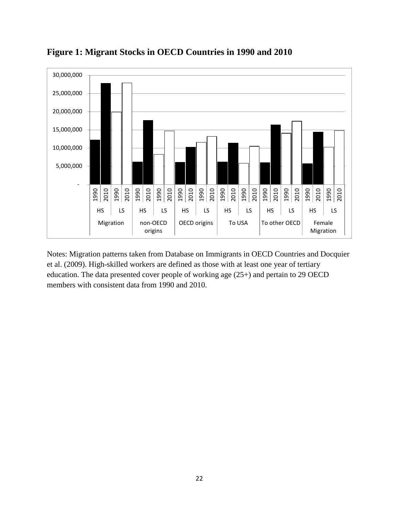

**Figure 1: Migrant Stocks in OECD Countries in 1990 and 2010** 

Notes: Migration patterns taken from Database on Immigrants in OECD Countries and Docquier et al. (2009). High-skilled workers are defined as those with at least one year of tertiary education. The data presented cover people of working age (25+) and pertain to 29 OECD members with consistent data from 1990 and 2010.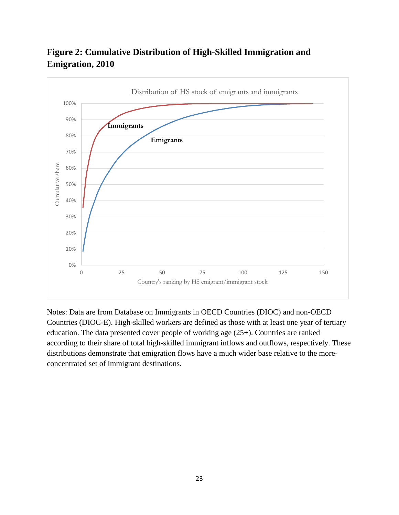

### **Figure 2: Cumulative Distribution of High-Skilled Immigration and Emigration, 2010**

Notes: Data are from Database on Immigrants in OECD Countries (DIOC) and non-OECD Countries (DIOC-E). High-skilled workers are defined as those with at least one year of tertiary education. The data presented cover people of working age (25+). Countries are ranked according to their share of total high-skilled immigrant inflows and outflows, respectively. These distributions demonstrate that emigration flows have a much wider base relative to the moreconcentrated set of immigrant destinations.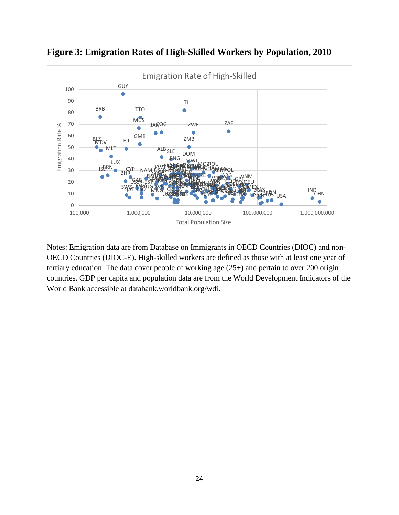

**Figure 3: Emigration Rates of High-Skilled Workers by Population, 2010**

Notes: Emigration data are from Database on Immigrants in OECD Countries (DIOC) and non-OECD Countries (DIOC-E). High-skilled workers are defined as those with at least one year of tertiary education. The data cover people of working age (25+) and pertain to over 200 origin countries. GDP per capita and population data are from the World Development Indicators of the World Bank accessible at databank.worldbank.org/wdi.